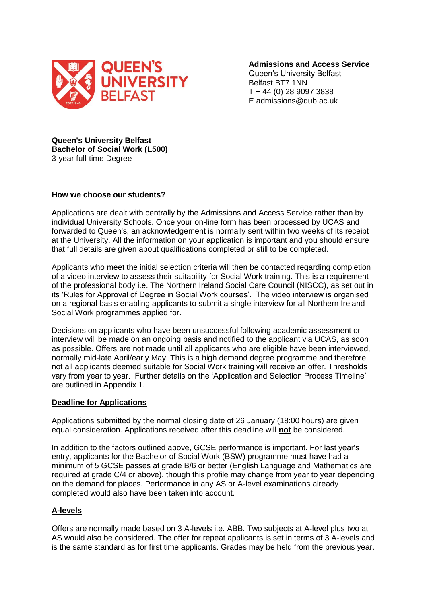

**Admissions and Access Service**

Queen's University Belfast Belfast BT7 1NN T + 44 (0) 28 9097 3838 E admissions@qub.ac.uk

**Queen's University Belfast Bachelor of Social Work (L500)** 3-year full-time Degree

#### **How we choose our students?**

Applications are dealt with centrally by the Admissions and Access Service rather than by individual University Schools. Once your on-line form has been processed by UCAS and forwarded to Queen's, an acknowledgement is normally sent within two weeks of its receipt at the University. All the information on your application is important and you should ensure that full details are given about qualifications completed or still to be completed.

Applicants who meet the initial selection criteria will then be contacted regarding completion of a video interview to assess their suitability for Social Work training. This is a requirement of the professional body i.e. The Northern Ireland Social Care Council (NISCC), as set out in its 'Rules for Approval of Degree in Social Work courses'. The video interview is organised on a regional basis enabling applicants to submit a single interview for all Northern Ireland Social Work programmes applied for.

Decisions on applicants who have been unsuccessful following academic assessment or interview will be made on an ongoing basis and notified to the applicant via UCAS, as soon as possible. Offers are not made until all applicants who are eligible have been interviewed, normally mid-late April/early May. This is a high demand degree programme and therefore not all applicants deemed suitable for Social Work training will receive an offer. Thresholds vary from year to year. Further details on the 'Application and Selection Process Timeline' are outlined in Appendix 1.

#### **Deadline for Applications**

Applications submitted by the normal closing date of 26 January (18:00 hours) are given equal consideration. Applications received after this deadline will **not** be considered.

In addition to the factors outlined above, GCSE performance is important. For last year's entry, applicants for the Bachelor of Social Work (BSW) programme must have had a minimum of 5 GCSE passes at grade B/6 or better (English Language and Mathematics are required at grade C/4 or above), though this profile may change from year to year depending on the demand for places. Performance in any AS or A-level examinations already completed would also have been taken into account.

## **A-levels**

Offers are normally made based on 3 A-levels i.e. ABB. Two subjects at A-level plus two at AS would also be considered. The offer for repeat applicants is set in terms of 3 A-levels and is the same standard as for first time applicants. Grades may be held from the previous year.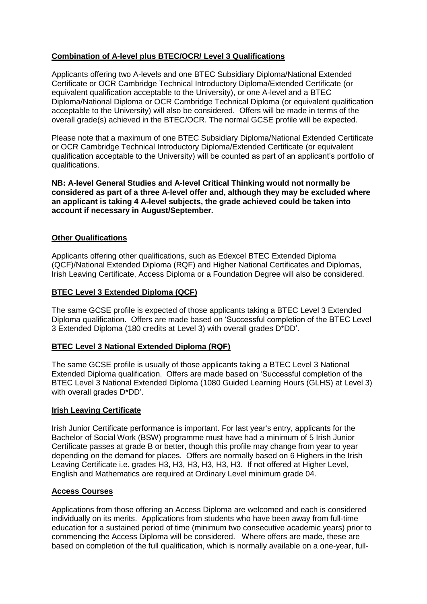# **Combination of A-level plus BTEC/OCR/ Level 3 Qualifications**

Applicants offering two A-levels and one BTEC Subsidiary Diploma/National Extended Certificate or OCR Cambridge Technical Introductory Diploma/Extended Certificate (or equivalent qualification acceptable to the University), or one A-level and a BTEC Diploma/National Diploma or OCR Cambridge Technical Diploma (or equivalent qualification acceptable to the University) will also be considered. Offers will be made in terms of the overall grade(s) achieved in the BTEC/OCR. The normal GCSE profile will be expected.

Please note that a maximum of one BTEC Subsidiary Diploma/National Extended Certificate or OCR Cambridge Technical Introductory Diploma/Extended Certificate (or equivalent qualification acceptable to the University) will be counted as part of an applicant's portfolio of qualifications.

**NB: A-level General Studies and A-level Critical Thinking would not normally be considered as part of a three A-level offer and, although they may be excluded where an applicant is taking 4 A-level subjects, the grade achieved could be taken into account if necessary in August/September.** 

# **Other Qualifications**

Applicants offering other qualifications, such as Edexcel BTEC Extended Diploma (QCF)/National Extended Diploma (RQF) and Higher National Certificates and Diplomas, Irish Leaving Certificate, Access Diploma or a Foundation Degree will also be considered.

# **BTEC Level 3 Extended Diploma (QCF)**

The same GCSE profile is expected of those applicants taking a BTEC Level 3 Extended Diploma qualification. Offers are made based on 'Successful completion of the BTEC Level 3 Extended Diploma (180 credits at Level 3) with overall grades D\*DD'.

## **BTEC Level 3 National Extended Diploma (RQF)**

The same GCSE profile is usually of those applicants taking a BTEC Level 3 National Extended Diploma qualification. Offers are made based on 'Successful completion of the BTEC Level 3 National Extended Diploma (1080 Guided Learning Hours (GLHS) at Level 3) with overall grades D\*DD'.

## **Irish Leaving Certificate**

Irish Junior Certificate performance is important. For last year's entry, applicants for the Bachelor of Social Work (BSW) programme must have had a minimum of 5 Irish Junior Certificate passes at grade B or better, though this profile may change from year to year depending on the demand for places. Offers are normally based on 6 Highers in the Irish Leaving Certificate i.e. grades H3, H3, H3, H3, H3, H3. If not offered at Higher Level, English and Mathematics are required at Ordinary Level minimum grade 04.

## **Access Courses**

Applications from those offering an Access Diploma are welcomed and each is considered individually on its merits. Applications from students who have been away from full-time education for a sustained period of time (minimum two consecutive academic years) prior to commencing the Access Diploma will be considered. Where offers are made, these are based on completion of the full qualification, which is normally available on a one-year, full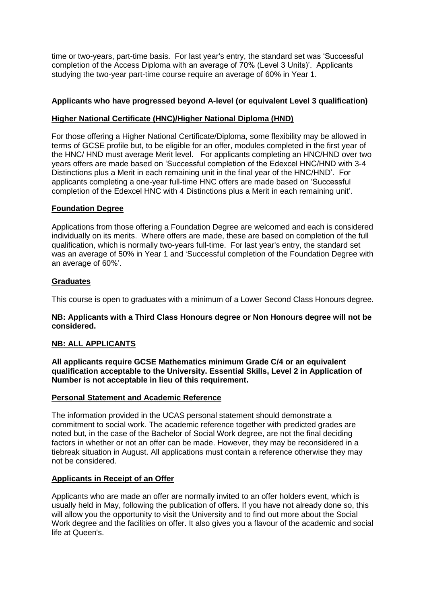time or two-years, part-time basis. For last year's entry, the standard set was 'Successful completion of the Access Diploma with an average of 70% (Level 3 Units)'. Applicants studying the two-year part-time course require an average of 60% in Year 1.

# **Applicants who have progressed beyond A-level (or equivalent Level 3 qualification)**

## **Higher National Certificate (HNC)/Higher National Diploma (HND)**

For those offering a Higher National Certificate/Diploma, some flexibility may be allowed in terms of GCSE profile but, to be eligible for an offer, modules completed in the first year of the HNC/ HND must average Merit level. For applicants completing an HNC/HND over two years offers are made based on 'Successful completion of the Edexcel HNC/HND with 3-4 Distinctions plus a Merit in each remaining unit in the final year of the HNC/HND'. For applicants completing a one-year full-time HNC offers are made based on 'Successful completion of the Edexcel HNC with 4 Distinctions plus a Merit in each remaining unit'.

## **Foundation Degree**

Applications from those offering a Foundation Degree are welcomed and each is considered individually on its merits. Where offers are made, these are based on completion of the full qualification, which is normally two-years full-time. For last year's entry, the standard set was an average of 50% in Year 1 and 'Successful completion of the Foundation Degree with an average of 60%'.

# **Graduates**

This course is open to graduates with a minimum of a Lower Second Class Honours degree.

#### **NB: Applicants with a Third Class Honours degree or Non Honours degree will not be considered.**

## **NB: ALL APPLICANTS**

**All applicants require GCSE Mathematics minimum Grade C/4 or an equivalent qualification acceptable to the University. Essential Skills, Level 2 in Application of Number is not acceptable in lieu of this requirement.**

## **Personal Statement and Academic Reference**

The information provided in the UCAS personal statement should demonstrate a commitment to social work. The academic reference together with predicted grades are noted but, in the case of the Bachelor of Social Work degree, are not the final deciding factors in whether or not an offer can be made. However, they may be reconsidered in a tiebreak situation in August. All applications must contain a reference otherwise they may not be considered.

## **Applicants in Receipt of an Offer**

Applicants who are made an offer are normally invited to an offer holders event, which is usually held in May, following the publication of offers. If you have not already done so, this will allow you the opportunity to visit the University and to find out more about the Social Work degree and the facilities on offer. It also gives you a flavour of the academic and social life at Queen's.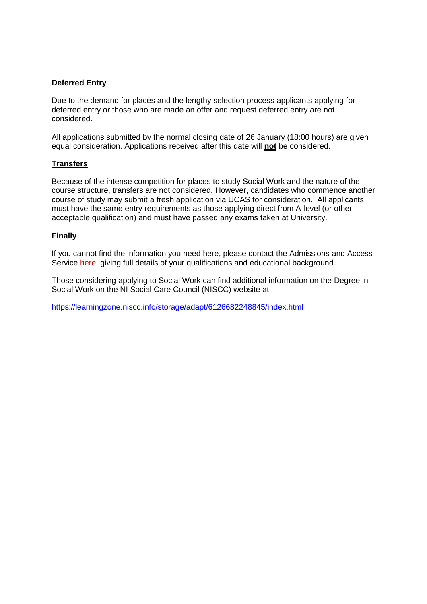## **Deferred Entry**

Due to the demand for places and the lengthy selection process applicants applying for deferred entry or those who are made an offer and request deferred entry are not considered.

All applications submitted by the normal closing date of 26 January (18:00 hours) are given equal consideration. Applications received after this date will **not** be considered.

## **Transfers**

Because of the intense competition for places to study Social Work and the nature of the course structure, transfers are not considered. However, candidates who commence another course of study may submit a fresh application via UCAS for consideration. All applicants must have the same entry requirements as those applying direct from A-level (or other acceptable qualification) and must have passed any exams taken at University.

#### **Finally**

If you cannot find the information you need here, please contact the Admissions and Access Service [here,](mailto:admissionsbsw@qub.ac.uk) giving full details of your qualifications and educational background.

Those considering applying to Social Work can find additional information on the Degree in Social Work on the NI Social Care Council (NISCC) website at:

[https://learningzone.niscc.info/storage/adapt/6126682248845/index.html](https://eur02.safelinks.protection.outlook.com/?url=https%3A%2F%2Flearningzone.niscc.info%2Fstorage%2Fadapt%2F6126682248845%2Findex.html&data=04%7C01%7Cs.bloomer%40qub.ac.uk%7Cfd24d7fe91674058b85808d999fc4dd0%7Ceaab77eab4a549e3a1e8d6dd23a1f286%7C0%7C0%7C637710131184258354%7CUnknown%7CTWFpbGZsb3d8eyJWIjoiMC4wLjAwMDAiLCJQIjoiV2luMzIiLCJBTiI6Ik1haWwiLCJXVCI6Mn0%3D%7C1000&sdata=ePX9nH3iOsoX%2BZLERxkstqk%2BUu6DdLHtHH9hwL1Kc7s%3D&reserved=0)